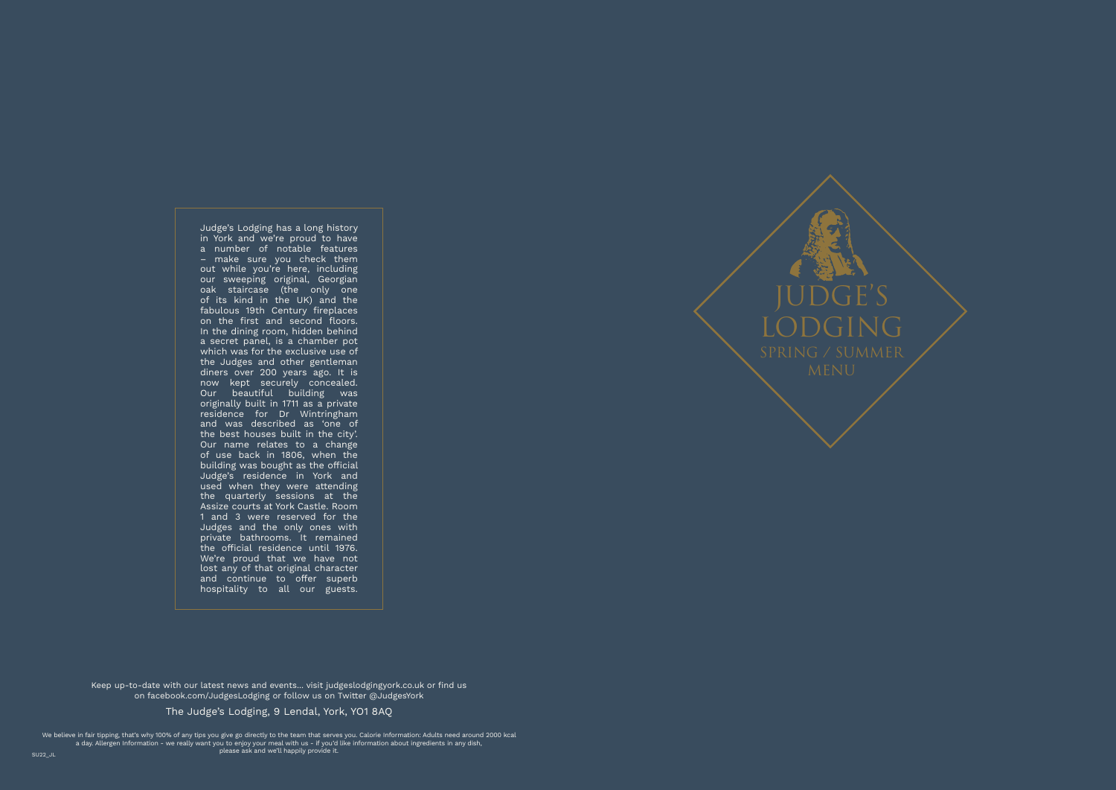

Judge's Lodging has a long history in York and we're proud to have a number of notable features – make sure you check them out while you're here, including our sweeping original, Georgian oak staircase (the only one of its kind in the UK) and the fabulous 19th Century fireplaces on the first and second floors. In the dining room, hidden behind a secret panel, is a chamber pot which was for the exclusive use of the Judges and other gentleman diners over 200 years ago. It is now kept securely concealed. Our beautiful building was originally built in 1711 as a private residence for Dr Wintringham and was described as 'one of the best houses built in the city'. Our name relates to a change of use back in 1806, when the building was bought as the official Judge's residence in York and used when they were attending the quarterly sessions at the Assize courts at York Castle. Room 1 and 3 were reserved for the Judges and the only ones with private bathrooms. It remained the official residence until 1976. We're proud that we have not lost any of that original character and continue to offer superb hospitality to all our guests.

We believe in fair tipping, that's why 100% of any tips you give go directly to the team that serves you. Calorie Information: Adults need around 2000 kcal a day. Allergen Information - we really want you to enjoy your meal with us - if you'd like information about ingredients in any dish, please ask and we'll happily provide it.

The Judge's Lodging, 9 Lendal, York, YO1 8AQ

Keep up-to-date with our latest news and events... visit judgeslodgingyork.co.uk or find us on facebook.com/JudgesLodging or follow us on Twitter @JudgesYork